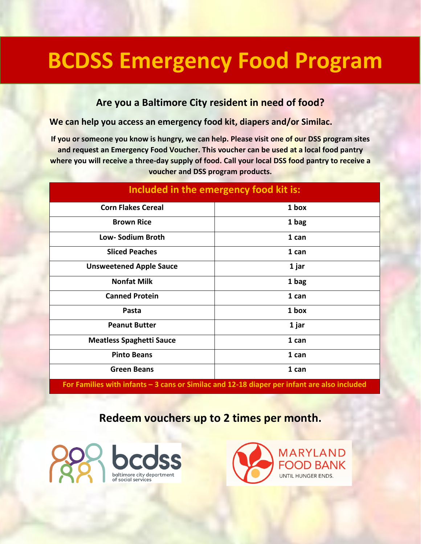## **BCDSS Emergency Food Program**

## **Are you a Baltimore City resident in need of food?**

**We can help you access an emergency food kit, diapers and/or Similac.**

**If you or someone you know is hungry, we can help. Please visit one of our DSS program sites and request an Emergency Food Voucher. This voucher can be used at a local food pantry where you will receive a three-day supply of food. Call your local DSS food pantry to receive a voucher and DSS program products.**

| Included in the emergency food kit is: |       |  |
|----------------------------------------|-------|--|
| <b>Corn Flakes Cereal</b>              | 1 box |  |
| <b>Brown Rice</b>                      | 1 bag |  |
| <b>Low-Sodium Broth</b>                | 1 can |  |
| <b>Sliced Peaches</b>                  | 1 can |  |
| <b>Unsweetened Apple Sauce</b>         | 1 jar |  |
| <b>Nonfat Milk</b>                     | 1 bag |  |
| <b>Canned Protein</b>                  | 1 can |  |
| Pasta                                  | 1 box |  |
| <b>Peanut Butter</b>                   | 1 jar |  |
| <b>Meatless Spaghetti Sauce</b>        | 1 can |  |
| <b>Pinto Beans</b>                     | 1 can |  |
| <b>Green Beans</b>                     | 1 can |  |

**For Families with infants – 3 cans or Similac and 12-18 diaper per infant are also included**

## **Redeem vouchers up to 2 times per month.**